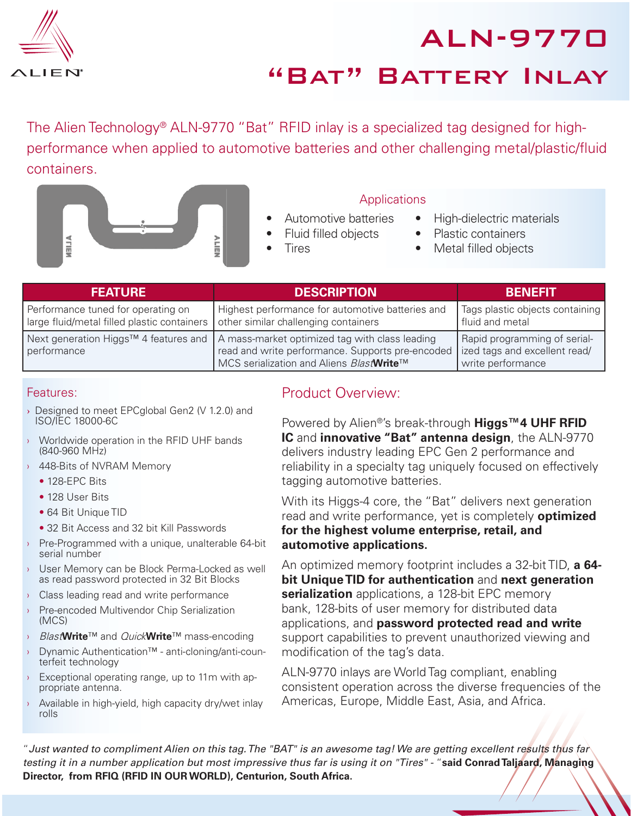

ALN-9770 "Bat" Battery Inlay

The Alien Technology<sup>®</sup> ALN-9770 "Bat" RFID inlay is a specialized tag designed for highperformance when applied to automotive batteries and other challenging metal/plastic/fluid containers.



### Applications

- Automotive batteries Fluid filled objects
- High-dielectric materials
- Plastic containers
- Metal filled objects

| <b>FEATURE</b>                                                                                                           | <b>DESCRIPTION</b>                                                                                                                                                                     | <b>BENEFIT</b>                                                                     |
|--------------------------------------------------------------------------------------------------------------------------|----------------------------------------------------------------------------------------------------------------------------------------------------------------------------------------|------------------------------------------------------------------------------------|
| Performance tuned for operating on<br>large fluid/metal filled plastic containers   other similar challenging containers | Highest performance for automotive batteries and                                                                                                                                       | Tags plastic objects containing<br>fluid and metal                                 |
| performance                                                                                                              | Next generation Higgs™ 4 features and   A mass-market optimized tag with class leading<br>read and write performance. Supports pre-encoded<br>MCS serialization and Aliens BlastWrite™ | Rapid programming of serial-<br>ized tags and excellent read/<br>write performance |

**Tires** 

#### Features:

- › Designed to meet EPCglobal Gen2 (V 1.2.0) and ISO/IEC 18000-6C
- Worldwide operation in the RFID UHF bands (840-960 MHz)
- › 448-Bits of NVRAM Memory
	- 128-EPC Bits
	- 128 User Bits
	- 64 Bit Unique TID
	- 32 Bit Access and 32 bit Kill Passwords
- > Pre-Programmed with a unique, unalterable 64-bit serial number
- › User Memory can be Block Perma-Locked as well as read password protected in 32 Bit Blocks
- › Class leading read and write performance
- › Pre-encoded Multivendor Chip Serialization (MCS)
- › Blast**Write**™ and Quick**Write**™ mass-encoding
- › Dynamic Authentication™ anti-cloning/anti-counterfeit technology
- Exceptional operating range, up to 11m with appropriate antenna.
- $\rightarrow$  Available in high-yield, high capacity dry/wet inlay rolls

### Product Overview:

Powered by Alien®'s break-through **Higgs™4 UHF RFID IC** and **innovative "Bat" antenna design**, the ALN-9770 delivers industry leading EPC Gen 2 performance and reliability in a specialty tag uniquely focused on effectively tagging automotive batteries.

With its Higgs-4 core, the "Bat" delivers next generation read and write performance, yet is completely **optimized for the highest volume enterprise, retail, and automotive applications.**

An optimized memory footprint includes a 32-bit TID, **a 64 bit Unique TID for authentication** and **next generation serialization** applications, a 128-bit EPC memory bank, 128-bits of user memory for distributed data applications, and **password protected read and write** support capabilities to prevent unauthorized viewing and modification of the tag's data.

ALN-9770 inlays are World Tag compliant, enabling consistent operation across the diverse frequencies of the Americas, Europe, Middle East, Asia, and Africa.

"*Just wanted to compliment Alien on this tag. The "BAT" is an awesome tag! We are getting excellent results thus far testing it in a number application but most impressive thus far is using it on "Tires" -* "**said Conrad Taljaard, Managing Director, from RFIQ (RFID IN OUR WORLD), Centurion, South Africa.**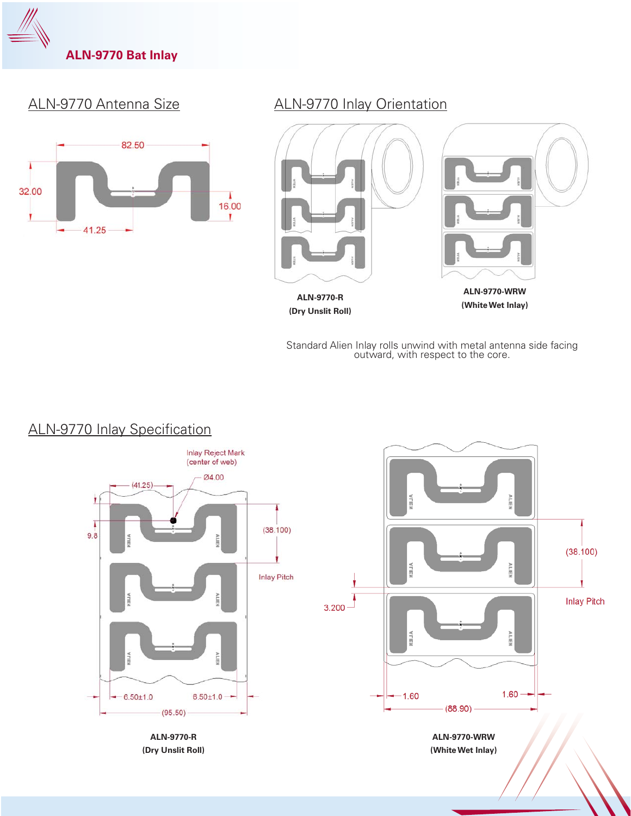

## ALN-9770 Antenna Size



### ALN-9770 Inlay Orientation



Standard Alien Inlay rolls unwind with metal antenna side facing outward, with respect to the core.



# ALN-9770 Inlay Specification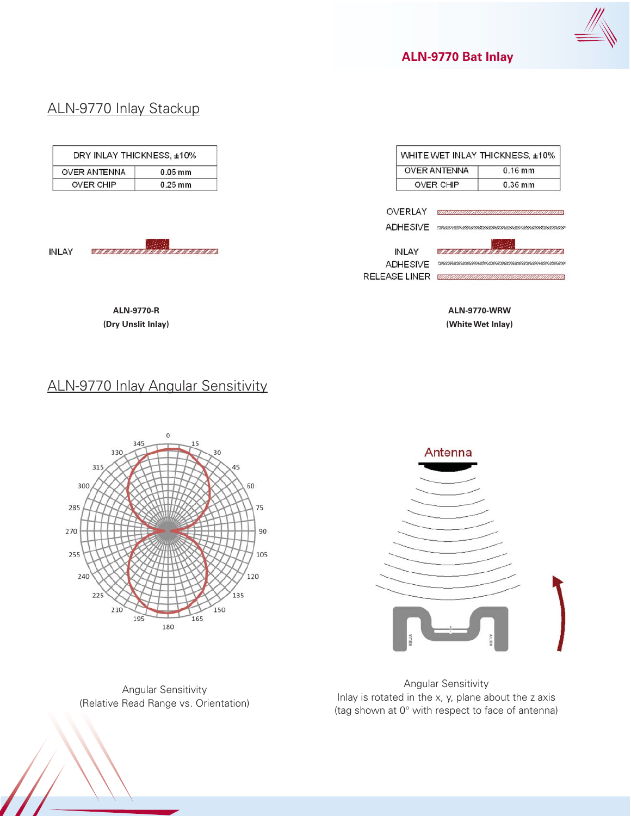

**ALN-9770 Bat Inlay**

# ALN-9770 Inlay Stackup

| DRY INLAY THICKNESS, ±10% |                    |                                                                                                                                                                                                                                      |                      |                                                        | WHITE WET INLAY THICKNESS, ±10% |                                                                    |
|---------------------------|--------------------|--------------------------------------------------------------------------------------------------------------------------------------------------------------------------------------------------------------------------------------|----------------------|--------------------------------------------------------|---------------------------------|--------------------------------------------------------------------|
| <b>OVER ANTENNA</b>       |                    | $0.05$ mm                                                                                                                                                                                                                            |                      |                                                        | <b>OVER ANTENNA</b>             | $0.16$ mm                                                          |
| <b>OVER CHIP</b>          |                    | $0.25$ mm                                                                                                                                                                                                                            |                      |                                                        | <b>OVER CHIP</b>                | 0.36 mm                                                            |
| <b>INLAY</b>              |                    | <u> Katalog a Kabupatén Ing Kabupatèn Jawa Barat, Ing Kabupatén Jawa Barat, Ing Kabupatén Jawa Barat, Ing Kabupatén Jawa Barat, Ing Kabupatén Jawa Barat, Ing Kabupatén Jawa Barat, Ing Kabupatén Jawa Barat, Ing Kabupatén Jawa</u> | <b>RELEASE LINER</b> | OVERLAY<br>ADHESIVE<br><b>INLAY</b><br><b>ADHESIVE</b> |                                 | <u>ta kasa sa santa i</u><br><u>saanaanaanaanaanaanaanaanaanaa</u> |
|                           | <b>ALN-9770-R</b>  |                                                                                                                                                                                                                                      |                      |                                                        |                                 | <b>ALN-9770-WRW</b>                                                |
|                           | (Dry Unslit Inlay) |                                                                                                                                                                                                                                      |                      |                                                        |                                 | (White Wet Inlay)                                                  |

# ALN-9770 Inlay Angular Sensitivity



Angular Sensitivity (Relative Read Range vs. Orientation)



Angular Sensitivity Inlay is rotated in the x, y, plane about the z axis (tag shown at 0° with respect to face of antenna)